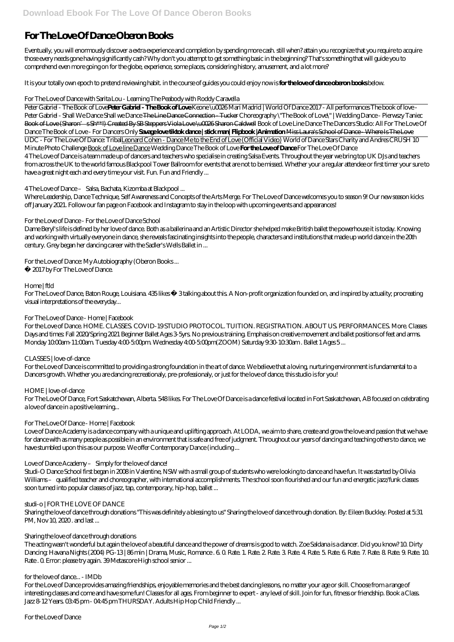# **For The Love Of Dance Oberon Books**

Eventually, you will enormously discover a extra experience and completion by spending more cash. still when? attain you recognize that you require to acquire those every needs gone having significantly cash? Why don't you attempt to get something basic in the beginning? That's something that will guide you to comprehend even more going on for the globe, experience, some places, considering history, amusement, and a lot more?

It is your totally own epoch to pretend reviewing habit. in the course of guides you could enjoy now is **for the love of dance oberon books** below.

# *For The Love of Dance with Sarita Lou - Learning The Peabody with Roddy Caravella*

Peter Gabriel - The Book of Love**Peter Gabriel - The Book of Love** *Keone \u0026 Mari Madrid | World Of Dance 2017 - All performances The book of love - Peter Gabriel - Shall We Dance* Shall we Dance The Line Dance Connection - Tucker *Choreography \"The Book of Love\" | Wedding Dance - Pierwszy Taniec* Book of Love (Sharon's Sh<sup>\*\*!)</sup> Created By SB Steppers Viola Love \u0026 Sharon Caldwell Book of Love Line Dance The Dancers Studio: All For The Love Of Dance *The Book of Love - For Dancers Only* **Savage love tiktok dance | stick man| Flipbook |Animation** Miss Laura's School of Dance - Where Is The Love UDC - For The Love Of Dance: TribalLeonard Cohen - Dance Me to the End of Love (Official Video) *World of Dance Stars Charity and Andres CRUSH 10 Minute Photo Challenge* Book of Love line Dance *Wedding Dance The Book of Love* **For the Love of Dance** *For The Love Of Dance* 4 The Love of Dance is a team made up of dancers and teachers who specialise in creating Salsa Events. Throughout the year we bring top UK DJs and teachers from across the UK to the world famous Blackpool Tower Ballroom for events that are not to be missed. Whether your a regular attendee or first timer your sure to have a great night each and every time your visit. Fun. Fun and Friendly ...

For The Love of Dance, Baton Rouge, Louisiana. 435 likes · 3talking about this. A Non-profit organization founded on, and inspired by actuality; procreating visual interpretations of the everyday...

For the Love of Dance. HOME. CLASSES. COVID-19 STUDIO PROTOCOL. TUITION. REGISTRATION. ABOUT US. PERFORMANCES. More. Classes Days and times: Fall 2020/Spring 2021 Beginner Ballet Ages 3-5yrs. No previous training. Emphasis on creative movement and ballet positions of feet and arms. Monday 10:00am-11:00am. Tuesday 4:00-5:00pm. Wednesday 4:00-5:00pm(ZOOM) Saturday 9:30-10:30am. Ballet 1 Ages 5...

# *4 The Love of Dance – Salsa, Bachata, Kizomba at Blackpool ...*

Where Leadership, Dance Technique, Self Awareness and Concepts of the Arts Merge. For The Love of Dance welcomes you to season 9! Our new season kicks off January 2021. Follow our fan page on Facebook and Instagram to stay in the loop with upcoming events and appearances!

# *For the Love of Dance - For the Love of Dance School*

*studi-o | FOR THE LOVE OF DANCE* Sharing the love of dance through donations "This was definitely a blessing to us" Sharing the love of dance through donation. By: Eileen Buckley. Posted at 5:31 PM, Nov 10, 2020. and last...

Dame Beryl's life is defined by her love of dance. Both as a ballerina and an Artistic Director she helped make British ballet the powerhouse it is today. Knowing and working with virtually everyone in dance, she reveals fascinating insights into the people, characters and institutions that made up world dance in the 20th century. Grey began her dancing career with the Sadler's Wells Ballet in ...

*For the Love of Dance: My Autobiography (Oberon Books ...*

For the Love of Dance provides amazing friendships, enjoyable memories and the best dancing lessons, no matter your age or skill. Choose from a range of interesting classes and come and have some fun! Classes for all ages. From beginner to expert - any level of skill. Join for fun, fitness or friendship. Book a Class. Jazz 8-12 Years. 03:45 pm - 04:45 pm THURSDAY. Adults Hip Hop Child Friendly ...

© 2017 by For The Love of Dance.

# *Home | ftld*

# *For The Love of Dance - Home | Facebook*

#### *CLASSES | love-of-dance*

For the Love of Dance is committed to providing a strong foundation in the art of dance. We believe that a loving, nurturing environment is fundamental to a Dancers growth. Whether you are dancing recreationaly, pre-professionaly, or just for the love of dance, this studio is for you!

#### *HOME | love-of-dance*

For The Love Of Dance, Fort Saskatchewan, Alberta. 548 likes. For The Love Of Dance is a dance festival located in Fort Saskatchewan, AB focused on celebrating a love of dance in a positive learning...

# *For The Love Of Dance - Home | Facebook*

Love of Dance Academy is a dance company with a unique and uplifting approach. At LODA, we aim to share, create and grow the love and passion that we have for dance with as many people as possible in an environment that is safe and free of judgment. Throughout our years of dancing and teaching others to dance, we have stumbled upon this as our purpose. We offer Contemporary Dance (including ...

#### *Love of Dance Academy – Simply for the love of dance!*

Studi-O Dance School first began in 2008 in Valentine, NSW with a small group of students who were looking to dance and have fun. It was started by Olivia Williams – qualified teacher and choreographer, with international accomplishments. The school soon flourished and our fun and energetic jazz/funk classes

soon turned into popular classes of jazz, tap, contemporary, hip-hop, ballet ...

#### *Sharing the love of dance through donations*

The acting wasn't wonderful but again the love of a beautiful dance and the power of dreams is good to watch. Zoe Saldana is a dancer. Did you know? 10. Dirty Dancing: Havana Nights (2004) PG-13 | 86 min | Drama, Music, Romance . 6. 0. Rate. 1. Rate. 2. Rate. 4. Rate. 5. Rate. 6. Rate. 7. Rate. 8. Rate. 9. Rate. 10. Rate . 0. Error: please try again. 39 Metascore High school senior ...

*for the love of dance... - IMDb*

*For the Love of Dance*